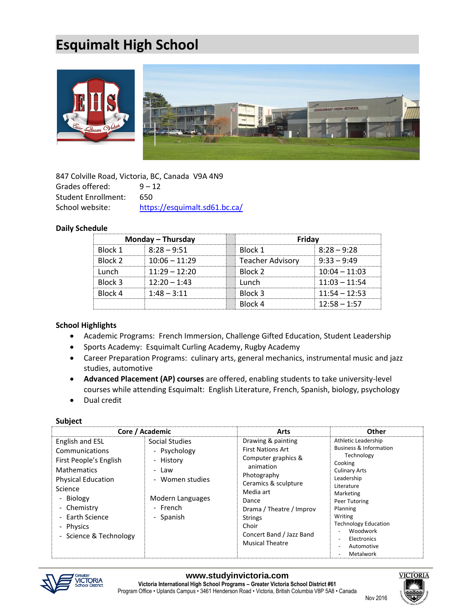# **Esquimalt High School**



|                            | 847 Colville Road, Victoria, BC, Canada V9A 4N9 |
|----------------------------|-------------------------------------------------|
| Grades offered:            | $9 - 12$                                        |
| <b>Student Enrollment:</b> | 650.                                            |
| School website:            | https://esquimalt.sd61.bc.ca/                   |

# **Daily Schedule**

|                | Monday – Thursday | Fridav           |                 |
|----------------|-------------------|------------------|-----------------|
| <b>Rlock 1</b> | $8:28 - 9:51$     | <b>Rlock 1</b>   | $8:28 - 9:28$   |
| Rlock 2        | $10:06 - 11:29$   | Teacher Advisorv | $9:33 - 9:49$   |
| <b>unch</b>    | $11:29 - 12:20$   | <b>Rlock 2</b>   | $10:04 - 11:03$ |
| Rlock 3        | $12:20 - 1:43$    | unch             | $11:03 - 11:54$ |
| <b>Rlock 4</b> | $1:48 - 3:11$     | <b>Rlock 3</b>   | $11:54 - 12:53$ |
|                |                   | Block 4          | $12:58 - 1:57$  |

#### **School Highlights**

- Academic Programs: French Immersion, Challenge Gifted Education, Student Leadership
- Sports Academy: Esquimalt Curling Academy, Rugby Academy
- Career Preparation Programs: culinary arts, general mechanics, instrumental music and jazz studies, automotive
- **Advanced Placement (AP) courses** are offered, enabling students to take university-level courses while attending Esquimalt: English Literature, French, Spanish, biology, psychology
- Dual credit

### **Subject**

|                                                                                                                                                                                                               | Core / Academic                                                                                                      | <b>Arts</b>                                                                                                                                                                                                                                                  | Other                                                                                                                                                                                                                                                                                                                                                    |
|---------------------------------------------------------------------------------------------------------------------------------------------------------------------------------------------------------------|----------------------------------------------------------------------------------------------------------------------|--------------------------------------------------------------------------------------------------------------------------------------------------------------------------------------------------------------------------------------------------------------|----------------------------------------------------------------------------------------------------------------------------------------------------------------------------------------------------------------------------------------------------------------------------------------------------------------------------------------------------------|
| English and ESL<br>Communications<br>First People's English<br><b>Mathematics</b><br><b>Physical Education</b><br>Science<br>- Biology<br>- Chemistry<br>- Earth Science<br>Physics<br>- Science & Technology | Social Studies<br>- Psychology<br>- History<br>- Law<br>- Women studies<br>Modern Languages<br>- French<br>- Spanish | Drawing & painting<br><b>First Nations Art</b><br>Computer graphics &<br>animation<br>Photography<br>Ceramics & sculpture<br>Media art<br>Dance<br>Drama / Theatre / Improv<br><b>Strings</b><br>Choir<br>Concert Band / Jazz Band<br><b>Musical Theatre</b> | Athletic Leadership<br>Business & Information<br>Technology<br>Cooking<br><b>Culinary Arts</b><br>Leadership<br>Literature<br>Marketing<br>Peer Tutoring<br>Planning<br>Writing<br><b>Technology Education</b><br>Woodwork<br>$\overline{\phantom{a}}$<br>Electronics<br>$\overline{\phantom{a}}$<br>Automotive<br>$\overline{\phantom{a}}$<br>Metalwork |



Nov 2016 and the United States of the United States of the United States of the United States of the United St